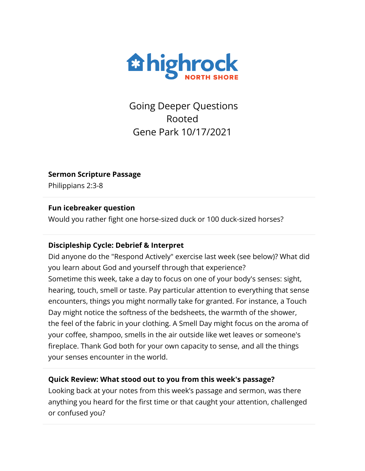

Going Deeper Questions Rooted Gene Park 10/17/2021

**Sermon Scripture Passage**

Philippians 2:3-8

## **Fun icebreaker question**

Would you rather fight one horse-sized duck or 100 duck-sized horses?

## **Discipleship Cycle: Debrief & Interpret**

Did anyone do the "Respond Actively" exercise last week (see below)? What did you learn about God and yourself through that experience? Sometime this week, take a day to focus on one of your body's senses: sight, hearing, touch, smell or taste. Pay particular attention to everything that sense encounters, things you might normally take for granted. For instance, a Touch Day might notice the softness of the bedsheets, the warmth of the shower, the feel of the fabric in your clothing. A Smell Day might focus on the aroma of your coffee, shampoo, smells in the air outside like wet leaves or someone's fireplace. Thank God both for your own capacity to sense, and all the things your senses encounter in the world.

# **Quick Review: What stood out to you from this week's passage?**

Looking back at your notes from this week's passage and sermon, was there anything you heard for the first time or that caught your attention, challenged or confused you?